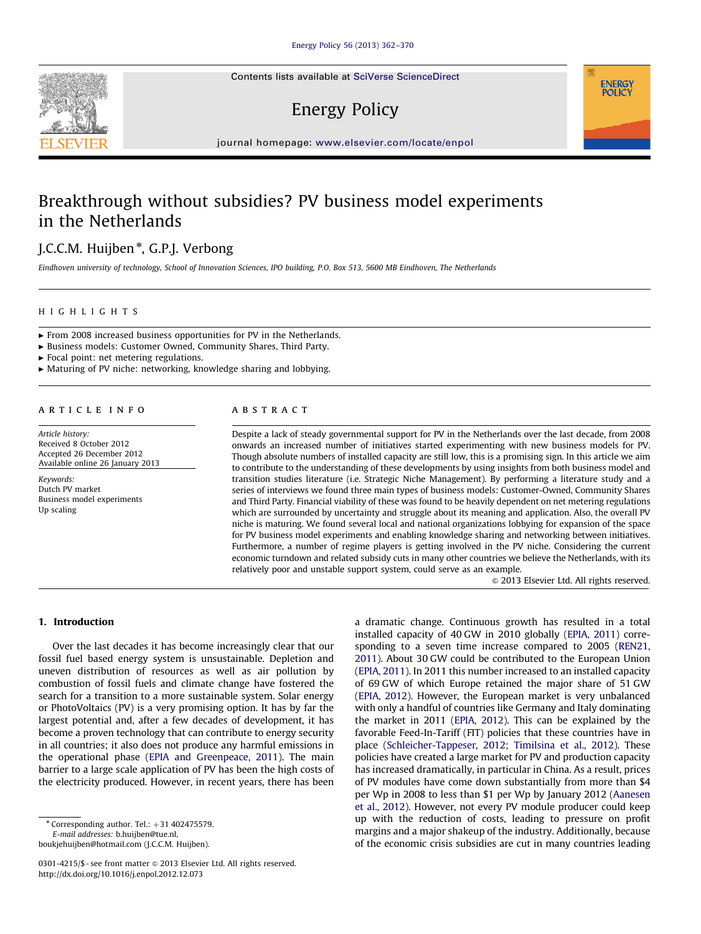Contents lists available at [SciVerse ScienceDirect](www.elsevier.com/locate/enpol)

# Energy Policy

journal homepage: <www.elsevier.com/locate/enpol>

## Breakthrough without subsidies? PV business model experiments in the Netherlands

### J.C.C.M. Huijben<sup>\*</sup>, G.P.J. Verbong

Eindhoven university of technology, School of Innovation Sciences, IPO building, P.O. Box 513, 5600 MB Eindhoven, The Netherlands

#### HIGHLIGHTS

 $\blacktriangleright$  From 2008 increased business opportunities for PV in the Netherlands.

c Business models: Customer Owned, Community Shares, Third Party.

 $\blacktriangleright$  Focal point: net metering regulations.

 $\blacktriangleright$  Maturing of PV niche: networking, knowledge sharing and lobbying.

#### article info

Article history: Received 8 October 2012 Accepted 26 December 2012 Available online 26 January 2013

Keywords: Dutch PV market Business model experiments Up scaling

#### ABSTRACT

Despite a lack of steady governmental support for PV in the Netherlands over the last decade, from 2008 onwards an increased number of initiatives started experimenting with new business models for PV. Though absolute numbers of installed capacity are still low, this is a promising sign. In this article we aim to contribute to the understanding of these developments by using insights from both business model and transition studies literature (i.e. Strategic Niche Management). By performing a literature study and a series of interviews we found three main types of business models: Customer-Owned, Community Shares and Third Party. Financial viability of these was found to be heavily dependent on net metering regulations which are surrounded by uncertainty and struggle about its meaning and application. Also, the overall PV niche is maturing. We found several local and national organizations lobbying for expansion of the space for PV business model experiments and enabling knowledge sharing and networking between initiatives. Furthermore, a number of regime players is getting involved in the PV niche. Considering the current economic turndown and related subsidy cuts in many other countries we believe the Netherlands, with its relatively poor and unstable support system, could serve as an example.

 $©$  2013 Elsevier Ltd. All rights reserved.

**ENERGY POLICY** 

#### 1. Introduction

Over the last decades it has become increasingly clear that our fossil fuel based energy system is unsustainable. Depletion and uneven distribution of resources as well as air pollution by combustion of fossil fuels and climate change have fostered the search for a transition to a more sustainable system. Solar energy or PhotoVoltaics (PV) is a very promising option. It has by far the largest potential and, after a few decades of development, it has become a proven technology that can contribute to energy security in all countries; it also does not produce any harmful emissions in the operational phase ([EPIA and Greenpeace, 2011](#page--1-0)). The main barrier to a large scale application of PV has been the high costs of the electricity produced. However, in recent years, there has been

 $*$  Corresponding author. Tel.:  $+31$  402475579.

E-mail addresses: [b.huijben@tue.nl,](mailto:b.huijben@tue.nl) [boukjehuijben@hotmail.com \(J.C.C.M. Huijben\).](mailto:boukjehuijben@hotmail.com) a dramatic change. Continuous growth has resulted in a total installed capacity of 40 GW in 2010 globally [\(EPIA, 2011\)](#page--1-0) corresponding to a seven time increase compared to 2005 ([REN21,](#page--1-0) [2011\)](#page--1-0). About 30 GW could be contributed to the European Union ([EPIA, 2011](#page--1-0)). In 2011 this number increased to an installed capacity of 69 GW of which Europe retained the major share of 51 GW ([EPIA, 2012](#page--1-0)). However, the European market is very unbalanced with only a handful of countries like Germany and Italy dominating the market in 2011 [\(EPIA, 2012\)](#page--1-0). This can be explained by the favorable Feed-In-Tariff (FIT) policies that these countries have in place ([Schleicher-Tappeser, 2012;](#page--1-0) [Timilsina et al., 2012\)](#page--1-0). These policies have created a large market for PV and production capacity has increased dramatically, in particular in China. As a result, prices of PV modules have come down substantially from more than \$4 per Wp in 2008 to less than \$1 per Wp by January 2012 [\(Aanesen](#page--1-0) [et al., 2012](#page--1-0)). However, not every PV module producer could keep up with the reduction of costs, leading to pressure on profit margins and a major shakeup of the industry. Additionally, because of the economic crisis subsidies are cut in many countries leading



<sup>0301-4215/\$ -</sup> see front matter @ 2013 Elsevier Ltd. All rights reserved. <http://dx.doi.org/10.1016/j.enpol.2012.12.073>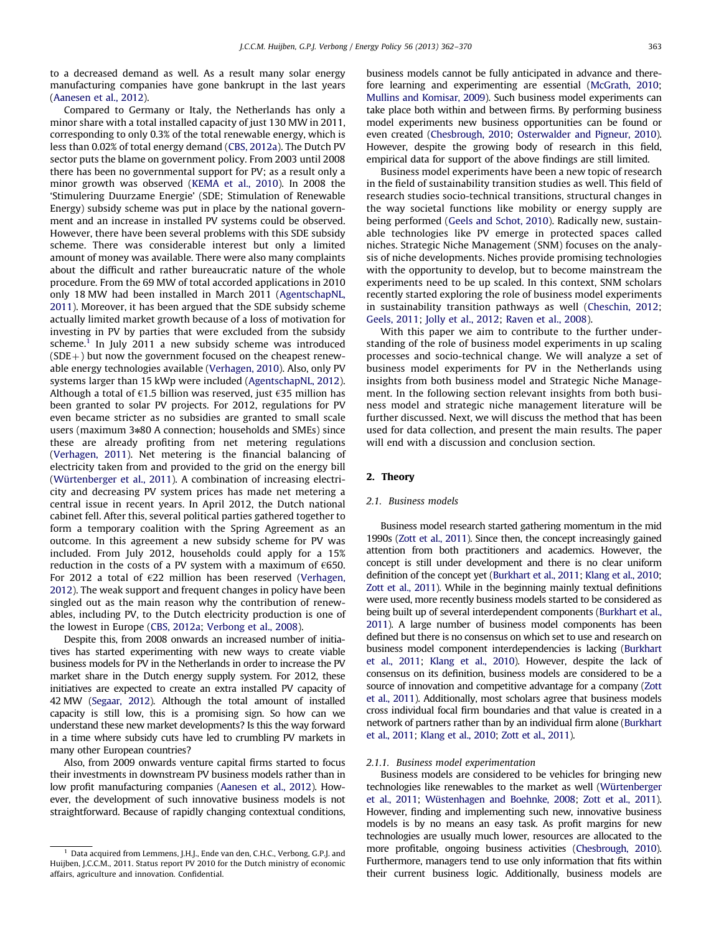to a decreased demand as well. As a result many solar energy manufacturing companies have gone bankrupt in the last years ([Aanesen et al., 2012\)](#page--1-0).

Compared to Germany or Italy, the Netherlands has only a minor share with a total installed capacity of just 130 MW in 2011, corresponding to only 0.3% of the total renewable energy, which is less than 0.02% of total energy demand [\(CBS, 2012a\)](#page--1-0). The Dutch PV sector puts the blame on government policy. From 2003 until 2008 there has been no governmental support for PV; as a result only a minor growth was observed [\(KEMA et al., 2010](#page--1-0)). In 2008 the 'Stimulering Duurzame Energie' (SDE; Stimulation of Renewable Energy) subsidy scheme was put in place by the national government and an increase in installed PV systems could be observed. However, there have been several problems with this SDE subsidy scheme. There was considerable interest but only a limited amount of money was available. There were also many complaints about the difficult and rather bureaucratic nature of the whole procedure. From the 69 MW of total accorded applications in 2010 only 18 MW had been installed in March 2011 ([AgentschapNL,](#page--1-0) [2011\)](#page--1-0). Moreover, it has been argued that the SDE subsidy scheme actually limited market growth because of a loss of motivation for investing in PV by parties that were excluded from the subsidy scheme.<sup>1</sup> In July 2011 a new subsidy scheme was introduced  $(SDE+)$  but now the government focused on the cheapest renewable energy technologies available ([Verhagen, 2010\)](#page--1-0). Also, only PV systems larger than 15 kWp were included [\(AgentschapNL, 2012\)](#page--1-0). Although a total of  $\epsilon$ 1.5 billion was reserved, just  $\epsilon$ 35 million has been granted to solar PV projects. For 2012, regulations for PV even became stricter as no subsidies are granted to small scale users (maximum 3\*80 A connection; households and SMEs) since these are already profiting from net metering regulations ([Verhagen, 2011\)](#page--1-0). Net metering is the financial balancing of electricity taken from and provided to the grid on the energy bill (Würtenberger et al., 2011). A combination of increasing electricity and decreasing PV system prices has made net metering a central issue in recent years. In April 2012, the Dutch national cabinet fell. After this, several political parties gathered together to form a temporary coalition with the Spring Agreement as an outcome. In this agreement a new subsidy scheme for PV was included. From July 2012, households could apply for a 15% reduction in the costs of a PV system with a maximum of  $\epsilon$ 650. For 2012 a total of  $E$ 22 million has been reserved ([Verhagen,](#page--1-0) [2012\)](#page--1-0). The weak support and frequent changes in policy have been singled out as the main reason why the contribution of renewables, including PV, to the Dutch electricity production is one of the lowest in Europe [\(CBS, 2012a](#page--1-0); [Verbong et al., 2008](#page--1-0)).

Despite this, from 2008 onwards an increased number of initiatives has started experimenting with new ways to create viable business models for PV in the Netherlands in order to increase the PV market share in the Dutch energy supply system. For 2012, these initiatives are expected to create an extra installed PV capacity of 42 MW [\(Segaar, 2012](#page--1-0)). Although the total amount of installed capacity is still low, this is a promising sign. So how can we understand these new market developments? Is this the way forward in a time where subsidy cuts have led to crumbling PV markets in many other European countries?

Also, from 2009 onwards venture capital firms started to focus their investments in downstream PV business models rather than in low profit manufacturing companies [\(Aanesen et al., 2012\)](#page--1-0). However, the development of such innovative business models is not straightforward. Because of rapidly changing contextual conditions, business models cannot be fully anticipated in advance and therefore learning and experimenting are essential [\(McGrath, 2010;](#page--1-0) [Mullins and Komisar, 2009](#page--1-0)). Such business model experiments can take place both within and between firms. By performing business model experiments new business opportunities can be found or even created [\(Chesbrough, 2010;](#page--1-0) [Osterwalder and Pigneur, 2010\)](#page--1-0). However, despite the growing body of research in this field, empirical data for support of the above findings are still limited.

Business model experiments have been a new topic of research in the field of sustainability transition studies as well. This field of research studies socio-technical transitions, structural changes in the way societal functions like mobility or energy supply are being performed [\(Geels and Schot, 2010](#page--1-0)). Radically new, sustainable technologies like PV emerge in protected spaces called niches. Strategic Niche Management (SNM) focuses on the analysis of niche developments. Niches provide promising technologies with the opportunity to develop, but to become mainstream the experiments need to be up scaled. In this context, SNM scholars recently started exploring the role of business model experiments in sustainability transition pathways as well ([Cheschin, 2012;](#page--1-0) [Geels, 2011](#page--1-0); [Jolly et al., 2012](#page--1-0); [Raven et al., 2008\)](#page--1-0).

With this paper we aim to contribute to the further understanding of the role of business model experiments in up scaling processes and socio-technical change. We will analyze a set of business model experiments for PV in the Netherlands using insights from both business model and Strategic Niche Management. In the following section relevant insights from both business model and strategic niche management literature will be further discussed. Next, we will discuss the method that has been used for data collection, and present the main results. The paper will end with a discussion and conclusion section.

#### 2. Theory

#### 2.1. Business models

Business model research started gathering momentum in the mid 1990s [\(Zott et al., 2011\)](#page--1-0). Since then, the concept increasingly gained attention from both practitioners and academics. However, the concept is still under development and there is no clear uniform definition of the concept yet [\(Burkhart et al., 2011](#page--1-0); [Klang et al., 2010;](#page--1-0) [Zott et al., 2011](#page--1-0)). While in the beginning mainly textual definitions were used, more recently business models started to be considered as being built up of several interdependent components [\(Burkhart et al.,](#page--1-0) [2011\)](#page--1-0). A large number of business model components has been defined but there is no consensus on which set to use and research on business model component interdependencies is lacking ([Burkhart](#page--1-0) [et al., 2011](#page--1-0); [Klang et al., 2010](#page--1-0)). However, despite the lack of consensus on its definition, business models are considered to be a source of innovation and competitive advantage for a company [\(Zott](#page--1-0) [et al., 2011](#page--1-0)). Additionally, most scholars agree that business models cross individual focal firm boundaries and that value is created in a network of partners rather than by an individual firm alone ([Burkhart](#page--1-0) [et al., 2011;](#page--1-0) [Klang et al., 2010;](#page--1-0) [Zott et al., 2011](#page--1-0)).

#### 2.1.1. Business model experimentation

Business models are considered to be vehicles for bringing new technologies like renewables to the market as well (Würtenberger [et al., 2011;](#page--1-0) Wüstenhagen and Boehnke, 2008; [Zott et al., 2011\)](#page--1-0). However, finding and implementing such new, innovative business models is by no means an easy task. As profit margins for new technologies are usually much lower, resources are allocated to the more profitable, ongoing business activities ([Chesbrough, 2010\)](#page--1-0). Furthermore, managers tend to use only information that fits within their current business logic. Additionally, business models are

<sup>1</sup> Data acquired from Lemmens, J.H.J., Ende van den, C.H.C., Verbong, G.P.J. and Huijben, J.C.C.M., 2011. Status report PV 2010 for the Dutch ministry of economic affairs, agriculture and innovation. Confidential.